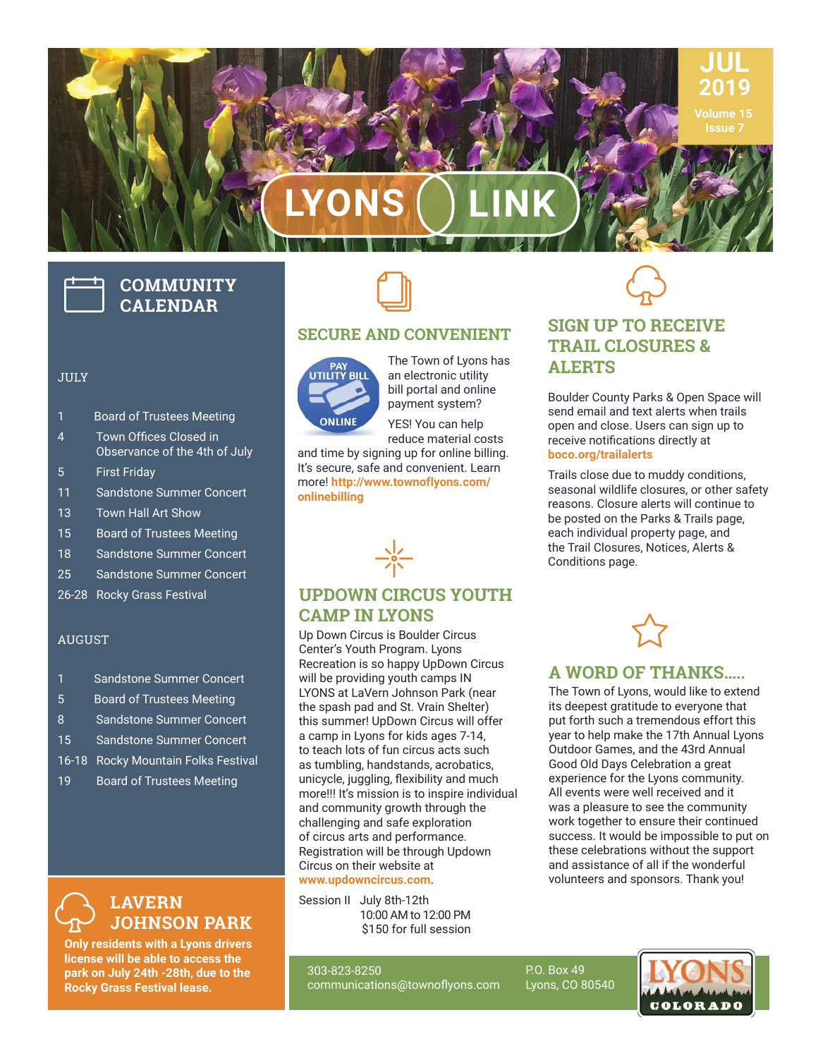# **LYONS LINK**

# **COMMUNITY CALENDAR**

#### JULY

- 1 Board of Trustees Meeting
- 4 Town Offices Closed in Observance of the 4th of July
- 5 First Friday
- 11 Sandstone Summer Concert
- 13 Town Hall Art Show
- 15 Board of Trustees Meeting
- 18 Sandstone Summer Concert
- 25 Sandstone Summer Concert
- 26-28 Rocky Grass Festival

#### AUGUST

- 1 Sandstone Summer Concert
- 5 Board of Trustees Meeting
- 8 Sandstone Summer Concert
- 15 Sandstone Summer Concert
- 16-18 Rocky Mountain Folks Festival
- 19 Board of Trustees Meeting



**Only residents with a Lyons drivers license will be able to access the park on July 24th -28th, due to the Rocky Grass Festival lease.**



#### **SECURE AND CONVENIENT**



The Town of Lyons has an electronic utility bill portal and online payment system?

YES! You can help reduce material costs

and time by signing up for online billing. It's secure, safe and convenient. Learn more! **http://www.townoflyons.com/ onlinebilling**



#### **UPDOWN CIRCUS YOUTH CAMP IN LYONS**

Up Down Circus is Boulder Circus Center's Youth Program. Lyons Recreation is so happy UpDown Circus will be providing youth camps IN LYONS at LaVern Johnson Park (near the spash pad and St. Vrain Shelter) this summer! UpDown Circus will offer a camp in Lyons for kids ages 7-14, to teach lots of fun circus acts such as tumbling, handstands, acrobatics, unicycle, juggling, flexibility and much more!!! It's mission is to inspire individual and community growth through the challenging and safe exploration of circus arts and performance. Registration will be through Updown Circus on their website at

#### **www.updowncircus.com**.

Session II July 8th-12th 10:00 AM to 12:00 PM \$150 for full session

303-823-8250 communications@townoflyons.com  $\bigodot$ 

**JUL 2019 Volume 15 Issue 7**

#### **SIGN UP TO RECEIVE TRAIL CLOSURES & ALERTS**

Boulder County Parks & Open Space will send email and text alerts when trails open and close. Users can sign up to receive notifications directly at **boco.org/trailalerts**

Trails close due to muddy conditions, seasonal wildlife closures, or other safety reasons. Closure alerts will continue to be posted on the Parks & Trails page, each individual property page, and the Trail Closures, Notices, Alerts & Conditions page.



#### **A WORD OF THANKS…..**

The Town of Lyons, would like to extend its deepest gratitude to everyone that put forth such a tremendous effort this year to help make the 17th Annual Lyons Outdoor Games, and the 43rd Annual Good Old Days Celebration a great experience for the Lyons community. All events were well received and it was a pleasure to see the community work together to ensure their continued success. It would be impossible to put on these celebrations without the support and assistance of all if the wonderful volunteers and sponsors. Thank you!

Lyons, CO 80540 **COLORADO** 

P.O. Box 49